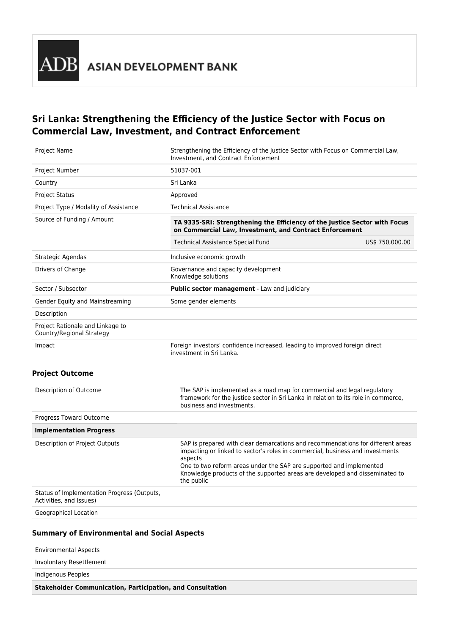

# **Sri Lanka: Strengthening the Efficiency of the Justice Sector with Focus on Commercial Law, Investment, and Contract Enforcement**

| Project Name                                                           | Strengthening the Efficiency of the Justice Sector with Focus on Commercial Law,<br>Investment, and Contract Enforcement                                                                                                                                                                                                                        |  |  |  |  |  |  |
|------------------------------------------------------------------------|-------------------------------------------------------------------------------------------------------------------------------------------------------------------------------------------------------------------------------------------------------------------------------------------------------------------------------------------------|--|--|--|--|--|--|
| Project Number                                                         | 51037-001                                                                                                                                                                                                                                                                                                                                       |  |  |  |  |  |  |
| Country                                                                | Sri Lanka                                                                                                                                                                                                                                                                                                                                       |  |  |  |  |  |  |
| Project Status                                                         | Approved                                                                                                                                                                                                                                                                                                                                        |  |  |  |  |  |  |
| Project Type / Modality of Assistance                                  | <b>Technical Assistance</b>                                                                                                                                                                                                                                                                                                                     |  |  |  |  |  |  |
| Source of Funding / Amount                                             | TA 9335-SRI: Strengthening the Efficiency of the Justice Sector with Focus<br>on Commercial Law, Investment, and Contract Enforcement                                                                                                                                                                                                           |  |  |  |  |  |  |
|                                                                        | Technical Assistance Special Fund<br>US\$ 750,000.00                                                                                                                                                                                                                                                                                            |  |  |  |  |  |  |
| Strategic Agendas                                                      | Inclusive economic growth                                                                                                                                                                                                                                                                                                                       |  |  |  |  |  |  |
| Drivers of Change                                                      | Governance and capacity development<br>Knowledge solutions                                                                                                                                                                                                                                                                                      |  |  |  |  |  |  |
| Sector / Subsector                                                     | Public sector management - Law and judiciary                                                                                                                                                                                                                                                                                                    |  |  |  |  |  |  |
| Gender Equity and Mainstreaming                                        | Some gender elements                                                                                                                                                                                                                                                                                                                            |  |  |  |  |  |  |
| Description                                                            |                                                                                                                                                                                                                                                                                                                                                 |  |  |  |  |  |  |
| Project Rationale and Linkage to<br>Country/Regional Strategy          |                                                                                                                                                                                                                                                                                                                                                 |  |  |  |  |  |  |
| Impact                                                                 | Foreign investors' confidence increased, leading to improved foreign direct<br>investment in Sri Lanka.                                                                                                                                                                                                                                         |  |  |  |  |  |  |
| <b>Project Outcome</b>                                                 |                                                                                                                                                                                                                                                                                                                                                 |  |  |  |  |  |  |
| Description of Outcome                                                 | The SAP is implemented as a road map for commercial and legal regulatory<br>framework for the justice sector in Sri Lanka in relation to its role in commerce,<br>business and investments.                                                                                                                                                     |  |  |  |  |  |  |
| Progress Toward Outcome                                                |                                                                                                                                                                                                                                                                                                                                                 |  |  |  |  |  |  |
| <b>Implementation Progress</b>                                         |                                                                                                                                                                                                                                                                                                                                                 |  |  |  |  |  |  |
| Description of Project Outputs                                         | SAP is prepared with clear demarcations and recommendations for different areas<br>impacting or linked to sector's roles in commercial, business and investments<br>aspects<br>One to two reform areas under the SAP are supported and implemented<br>Knowledge products of the supported areas are developed and disseminated to<br>the public |  |  |  |  |  |  |
| Status of Implementation Progress (Outputs,<br>Activities, and Issues) |                                                                                                                                                                                                                                                                                                                                                 |  |  |  |  |  |  |
| Geographical Location                                                  |                                                                                                                                                                                                                                                                                                                                                 |  |  |  |  |  |  |

### **Summary of Environmental and Social Aspects**

| <b>Stakeholder Communication, Participation, and Consultation</b> |  |
|-------------------------------------------------------------------|--|
| Indigenous Peoples                                                |  |
| Involuntary Resettlement                                          |  |
| <b>Environmental Aspects</b>                                      |  |